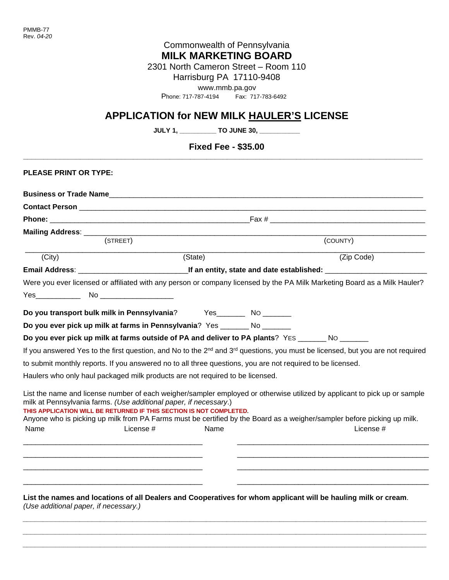## Commonwealth of Pennsylvania **MILK MARKETING BOARD**

2301 North Cameron Street – Room 110

Harrisburg PA 17110-9408

[www.mmb.pa.gov](http://www.mmb.pa.gov/) 

Phone: 717-787-4194 Fax: 717-783-6492

# **APPLICATION for NEW MILK HAULER'S LICENSE**

**JULY 1, \_\_\_\_\_\_\_\_\_\_ TO JUNE 30, \_\_\_\_\_\_\_\_\_\_\_**

## **Fixed Fee - \$35.00 \_\_\_\_\_\_\_\_\_\_\_\_\_\_\_\_\_\_\_\_\_\_\_\_\_\_\_\_\_\_\_\_\_\_\_\_\_\_\_\_\_\_\_\_\_\_\_\_\_\_\_\_\_\_\_\_\_\_\_\_\_\_\_\_\_\_\_\_\_\_\_\_\_\_\_\_\_\_\_\_\_\_\_\_\_\_\_\_\_\_\_\_\_\_\_\_\_\_**

| <b>PLEASE PRINT OR TYPE:</b> |                                                                                                                                          |         |                                                                                                                                                                                                                                                      |  |  |  |  |
|------------------------------|------------------------------------------------------------------------------------------------------------------------------------------|---------|------------------------------------------------------------------------------------------------------------------------------------------------------------------------------------------------------------------------------------------------------|--|--|--|--|
|                              |                                                                                                                                          |         |                                                                                                                                                                                                                                                      |  |  |  |  |
|                              |                                                                                                                                          |         |                                                                                                                                                                                                                                                      |  |  |  |  |
|                              |                                                                                                                                          |         |                                                                                                                                                                                                                                                      |  |  |  |  |
|                              |                                                                                                                                          |         |                                                                                                                                                                                                                                                      |  |  |  |  |
|                              | (STREET)                                                                                                                                 |         | (COUNTY)                                                                                                                                                                                                                                             |  |  |  |  |
| (City)                       |                                                                                                                                          | (State) | (Zip Code)                                                                                                                                                                                                                                           |  |  |  |  |
|                              |                                                                                                                                          |         |                                                                                                                                                                                                                                                      |  |  |  |  |
|                              |                                                                                                                                          |         | Were you ever licensed or affiliated with any person or company licensed by the PA Milk Marketing Board as a Milk Hauler?                                                                                                                            |  |  |  |  |
|                              |                                                                                                                                          |         |                                                                                                                                                                                                                                                      |  |  |  |  |
|                              | Do you transport bulk milk in Pennsylvania? Yes________ No _______                                                                       |         |                                                                                                                                                                                                                                                      |  |  |  |  |
|                              | Do you ever pick up milk at farms in Pennsylvania? Yes _______ No _______                                                                |         |                                                                                                                                                                                                                                                      |  |  |  |  |
|                              |                                                                                                                                          |         | Do you ever pick up milk at farms outside of PA and deliver to PA plants? YES _______ No _______                                                                                                                                                     |  |  |  |  |
|                              |                                                                                                                                          |         | If you answered Yes to the first question, and No to the $2^{nd}$ and $3^{rd}$ questions, you must be licensed, but you are not required                                                                                                             |  |  |  |  |
|                              |                                                                                                                                          |         | to submit monthly reports. If you answered no to all three questions, you are not required to be licensed.                                                                                                                                           |  |  |  |  |
|                              | Haulers who only haul packaged milk products are not required to be licensed.                                                            |         |                                                                                                                                                                                                                                                      |  |  |  |  |
|                              | milk at Pennsylvania farms. (Use additional paper, if necessary.)<br>THIS APPLICATION WILL BE RETURNED IF THIS SECTION IS NOT COMPLETED. |         | List the name and license number of each weigher/sampler employed or otherwise utilized by applicant to pick up or sample<br>Anyone who is picking up milk from PA Farms must be certified by the Board as a weigher/sampler before picking up milk. |  |  |  |  |
| Name                         | License #                                                                                                                                | Name    | License #                                                                                                                                                                                                                                            |  |  |  |  |
|                              |                                                                                                                                          |         |                                                                                                                                                                                                                                                      |  |  |  |  |
|                              |                                                                                                                                          |         |                                                                                                                                                                                                                                                      |  |  |  |  |
|                              |                                                                                                                                          |         |                                                                                                                                                                                                                                                      |  |  |  |  |
|                              |                                                                                                                                          |         |                                                                                                                                                                                                                                                      |  |  |  |  |
|                              |                                                                                                                                          |         | List the names and locations of all Dealers and Cooperatives for whom applicant will be hauling milk or cream.                                                                                                                                       |  |  |  |  |

*\_\_\_\_\_\_\_\_\_\_\_\_\_\_\_\_\_\_\_\_\_\_\_\_\_\_\_\_\_\_\_\_\_\_\_\_\_\_\_\_\_\_\_\_\_\_\_\_\_\_\_\_\_\_\_\_\_\_\_\_\_\_\_\_\_\_\_\_\_\_\_\_\_\_\_\_\_\_\_\_\_\_\_\_\_\_\_\_\_\_\_\_\_\_\_\_\_\_\_ \_\_\_\_\_\_\_\_\_\_\_\_\_\_\_\_\_\_\_\_\_\_\_\_\_\_\_\_\_\_\_\_\_\_\_\_\_\_\_\_\_\_\_\_\_\_\_\_\_\_\_\_\_\_\_\_\_\_\_\_\_\_\_\_\_\_\_\_\_\_\_\_\_\_\_\_\_\_\_\_\_\_\_\_\_\_\_\_\_\_\_\_\_\_\_\_\_\_\_ \_\_\_\_\_\_\_\_\_\_\_\_\_\_\_\_\_\_\_\_\_\_\_\_\_\_\_\_\_\_\_\_\_\_\_\_\_\_\_\_\_\_\_\_\_\_\_\_\_\_\_\_\_\_\_\_\_\_\_\_\_\_\_\_\_\_\_\_\_\_\_\_\_\_\_\_\_\_\_\_\_\_\_\_\_\_\_\_\_\_\_\_\_\_\_\_\_\_\_*

*(Use additional paper, if necessary.)*